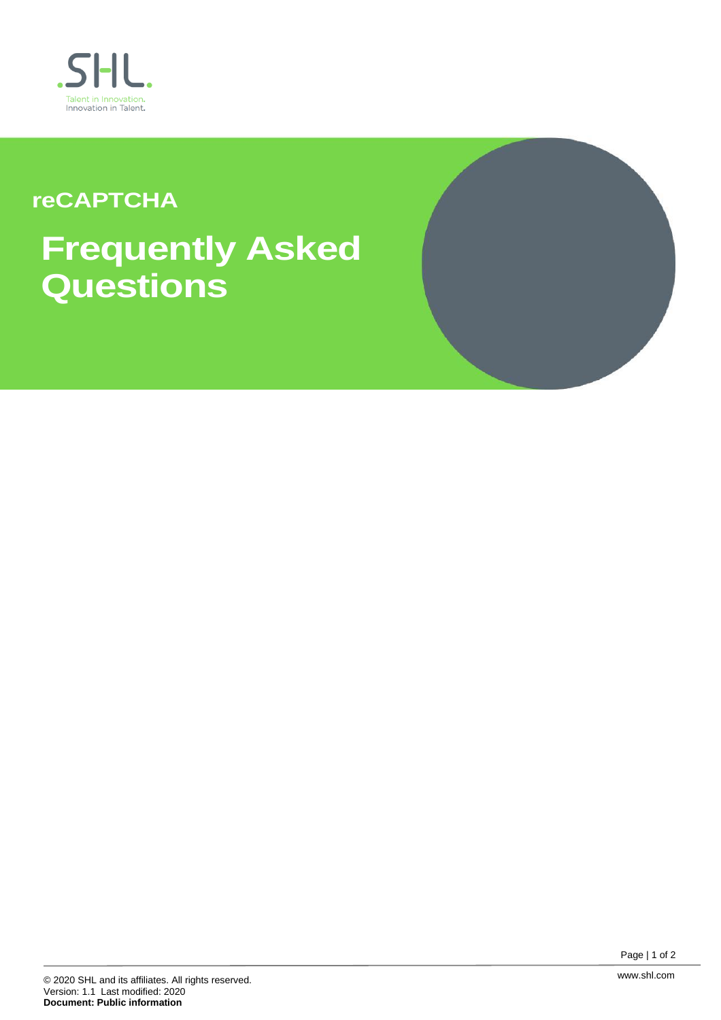

## **reCAPTCHA**

# **Frequently Asked Questions**